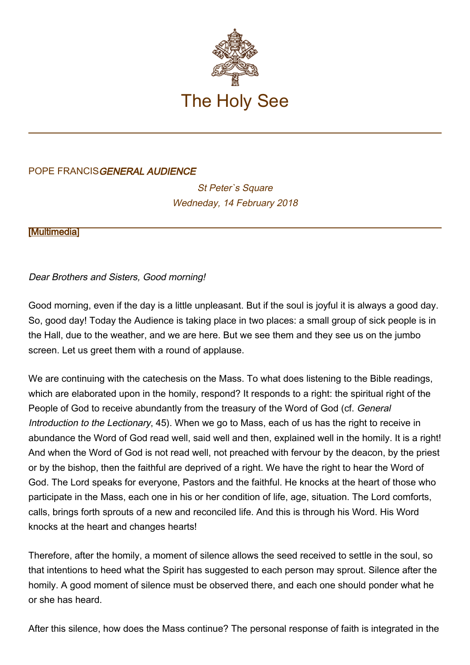

## POPE FRANCISGENERAL AUDIENCE

St Peter's Square Wedneday, 14 February 2018

**[\[Multimedia](http://w2.vatican.va/content/francesco/en/events/event.dir.html/content/vaticanevents/en/2018/2/14/udienzagenerale.html)]** 

## Dear Brothers and Sisters, Good morning!

Good morning, even if the day is a little unpleasant. But if the soul is joyful it is always a good day. So, good day! Today the Audience is taking place in two places: a small group of sick people is in the Hall, due to the weather, and we are here. But we see them and they see us on the jumbo screen. Let us greet them with a round of applause.

We are continuing with the catechesis on the Mass. To what does listening to the Bible readings, which are elaborated upon in the homily, respond? It responds to a right: the spiritual right of the People of God to receive abundantly from the treasury of the Word of God (cf. General Introduction to the Lectionary, 45). When we go to Mass, each of us has the right to receive in abundance the Word of God read well, said well and then, explained well in the homily. It is a right! And when the Word of God is not read well, not preached with fervour by the deacon, by the priest or by the bishop, then the faithful are deprived of a right. We have the right to hear the Word of God. The Lord speaks for everyone, Pastors and the faithful. He knocks at the heart of those who participate in the Mass, each one in his or her condition of life, age, situation. The Lord comforts, calls, brings forth sprouts of a new and reconciled life. And this is through his Word. His Word knocks at the heart and changes hearts!

Therefore, after the homily, a moment of silence allows the seed received to settle in the soul, so that intentions to heed what the Spirit has suggested to each person may sprout. Silence after the homily. A good moment of silence must be observed there, and each one should ponder what he or she has heard.

After this silence, how does the Mass continue? The personal response of faith is integrated in the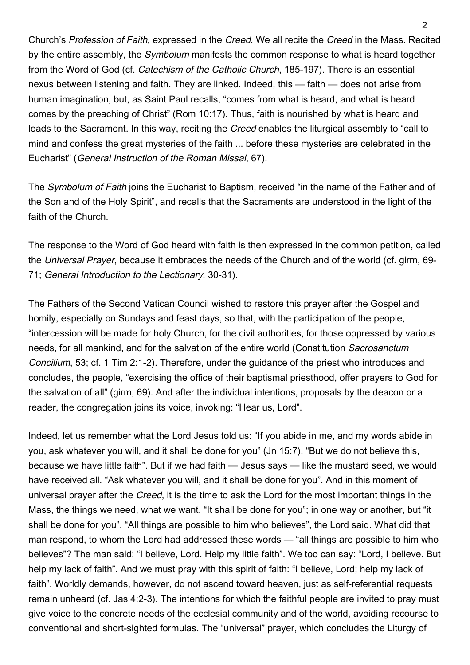Church's Profession of Faith, expressed in the Creed. We all recite the Creed in the Mass. Recited by the entire assembly, the Symbolum manifests the common response to what is heard together from the Word of God (cf. Catechism of the Catholic Church, 185-197). There is an essential nexus between listening and faith. They are linked. Indeed, this — faith — does not arise from human imagination, but, as Saint Paul recalls, "comes from what is heard, and what is heard comes by the preaching of Christ" (Rom 10:17). Thus, faith is nourished by what is heard and leads to the Sacrament. In this way, reciting the Creed enables the liturgical assembly to "call to mind and confess the great mysteries of the faith ... before these mysteries are celebrated in the Eucharist" (General Instruction of the Roman Missal, 67).

The Symbolum of Faith joins the Eucharist to Baptism, received "in the name of the Father and of the Son and of the Holy Spirit", and recalls that the Sacraments are understood in the light of the faith of the Church.

The response to the Word of God heard with faith is then expressed in the common petition, called the Universal Prayer, because it embraces the needs of the Church and of the world (cf. girm, 69- 71; General Introduction to the Lectionary, 30-31).

The Fathers of the Second Vatican Council wished to restore this prayer after the Gospel and homily, especially on Sundays and feast days, so that, with the participation of the people, "intercession will be made for holy Church, for the civil authorities, for those oppressed by various needs, for all mankind, and for the salvation of the entire world (Constitution Sacrosanctum Concilium, 53; cf. 1 Tim 2:1-2). Therefore, under the guidance of the priest who introduces and concludes, the people, "exercising the office of their baptismal priesthood, offer prayers to God for the salvation of all" (girm, 69). And after the individual intentions, proposals by the deacon or a reader, the congregation joins its voice, invoking: "Hear us, Lord".

Indeed, let us remember what the Lord Jesus told us: "If you abide in me, and my words abide in you, ask whatever you will, and it shall be done for you" (Jn 15:7). "But we do not believe this, because we have little faith". But if we had faith — Jesus says — like the mustard seed, we would have received all. "Ask whatever you will, and it shall be done for you". And in this moment of universal prayer after the Creed, it is the time to ask the Lord for the most important things in the Mass, the things we need, what we want. "It shall be done for you"; in one way or another, but "it shall be done for you". "All things are possible to him who believes", the Lord said. What did that man respond, to whom the Lord had addressed these words — "all things are possible to him who believes"? The man said: "I believe, Lord. Help my little faith". We too can say: "Lord, I believe. But help my lack of faith". And we must pray with this spirit of faith: "I believe, Lord; help my lack of faith". Worldly demands, however, do not ascend toward heaven, just as self-referential requests remain unheard (cf. Jas 4:2-3). The intentions for which the faithful people are invited to pray must give voice to the concrete needs of the ecclesial community and of the world, avoiding recourse to conventional and short-sighted formulas. The "universal" prayer, which concludes the Liturgy of